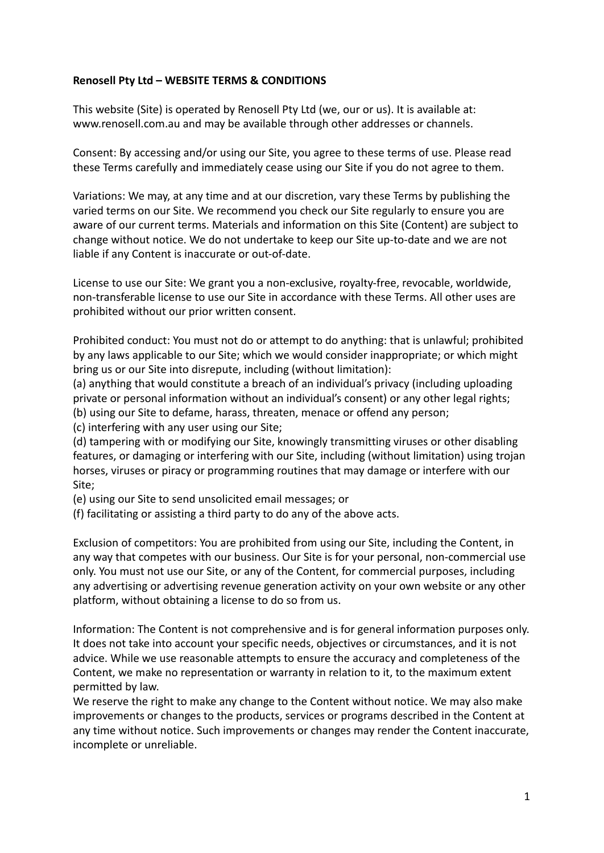## **Renosell Pty Ltd – WEBSITE TERMS & CONDITIONS**

This website (Site) is operated by Renosell Pty Ltd (we, our or us). It is available at: www.renosell.com.au and may be available through other addresses or channels.

Consent: By accessing and/or using our Site, you agree to these terms of use. Please read these Terms carefully and immediately cease using our Site if you do not agree to them.

Variations: We may, at any time and at our discretion, vary these Terms by publishing the varied terms on our Site. We recommend you check our Site regularly to ensure you are aware of our current terms. Materials and information on this Site (Content) are subject to change without notice. We do not undertake to keep our Site up-to-date and we are not liable if any Content is inaccurate or out-of-date.

License to use our Site: We grant you a non-exclusive, royalty-free, revocable, worldwide, non-transferable license to use our Site in accordance with these Terms. All other uses are prohibited without our prior written consent.

Prohibited conduct: You must not do or attempt to do anything: that is unlawful; prohibited by any laws applicable to our Site; which we would consider inappropriate; or which might bring us or our Site into disrepute, including (without limitation):

(a) anything that would constitute a breach of an individual's privacy (including uploading private or personal information without an individual's consent) or any other legal rights; (b) using our Site to defame, harass, threaten, menace or offend any person;

(c) interfering with any user using our Site;

(d) tampering with or modifying our Site, knowingly transmitting viruses or other disabling features, or damaging or interfering with our Site, including (without limitation) using trojan horses, viruses or piracy or programming routines that may damage or interfere with our Site;

(e) using our Site to send unsolicited email messages; or

(f) facilitating or assisting a third party to do any of the above acts.

Exclusion of competitors: You are prohibited from using our Site, including the Content, in any way that competes with our business. Our Site is for your personal, non-commercial use only. You must not use our Site, or any of the Content, for commercial purposes, including any advertising or advertising revenue generation activity on your own website or any other platform, without obtaining a license to do so from us.

Information: The Content is not comprehensive and is for general information purposes only. It does not take into account your specific needs, objectives or circumstances, and it is not advice. While we use reasonable attempts to ensure the accuracy and completeness of the Content, we make no representation or warranty in relation to it, to the maximum extent permitted by law.

We reserve the right to make any change to the Content without notice. We may also make improvements or changes to the products, services or programs described in the Content at any time without notice. Such improvements or changes may render the Content inaccurate, incomplete or unreliable.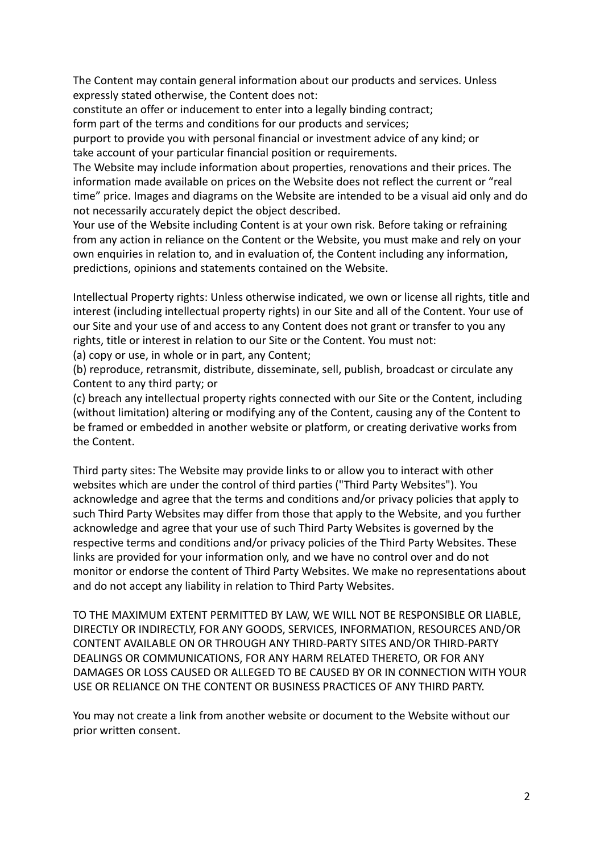The Content may contain general information about our products and services. Unless expressly stated otherwise, the Content does not:

constitute an offer or inducement to enter into a legally binding contract;

form part of the terms and conditions for our products and services;

purport to provide you with personal financial or investment advice of any kind; or take account of your particular financial position or requirements.

The Website may include information about properties, renovations and their prices. The information made available on prices on the Website does not reflect the current or "real time" price. Images and diagrams on the Website are intended to be a visual aid only and do not necessarily accurately depict the object described.

Your use of the Website including Content is at your own risk. Before taking or refraining from any action in reliance on the Content or the Website, you must make and rely on your own enquiries in relation to, and in evaluation of, the Content including any information, predictions, opinions and statements contained on the Website.

Intellectual Property rights: Unless otherwise indicated, we own or license all rights, title and interest (including intellectual property rights) in our Site and all of the Content. Your use of our Site and your use of and access to any Content does not grant or transfer to you any rights, title or interest in relation to our Site or the Content. You must not:

(a) copy or use, in whole or in part, any Content;

(b) reproduce, retransmit, distribute, disseminate, sell, publish, broadcast or circulate any Content to any third party; or

(c) breach any intellectual property rights connected with our Site or the Content, including (without limitation) altering or modifying any of the Content, causing any of the Content to be framed or embedded in another website or platform, or creating derivative works from the Content.

Third party sites: The Website may provide links to or allow you to interact with other websites which are under the control of third parties ("Third Party Websites"). You acknowledge and agree that the terms and conditions and/or privacy policies that apply to such Third Party Websites may differ from those that apply to the Website, and you further acknowledge and agree that your use of such Third Party Websites is governed by the respective terms and conditions and/or privacy policies of the Third Party Websites. These links are provided for your information only, and we have no control over and do not monitor or endorse the content of Third Party Websites. We make no representations about and do not accept any liability in relation to Third Party Websites.

TO THE MAXIMUM EXTENT PERMITTED BY LAW, WE WILL NOT BE RESPONSIBLE OR LIABLE, DIRECTLY OR INDIRECTLY, FOR ANY GOODS, SERVICES, INFORMATION, RESOURCES AND/OR CONTENT AVAILABLE ON OR THROUGH ANY THIRD-PARTY SITES AND/OR THIRD-PARTY DEALINGS OR COMMUNICATIONS, FOR ANY HARM RELATED THERETO, OR FOR ANY DAMAGES OR LOSS CAUSED OR ALLEGED TO BE CAUSED BY OR IN CONNECTION WITH YOUR USE OR RELIANCE ON THE CONTENT OR BUSINESS PRACTICES OF ANY THIRD PARTY.

You may not create a link from another website or document to the Website without our prior written consent.